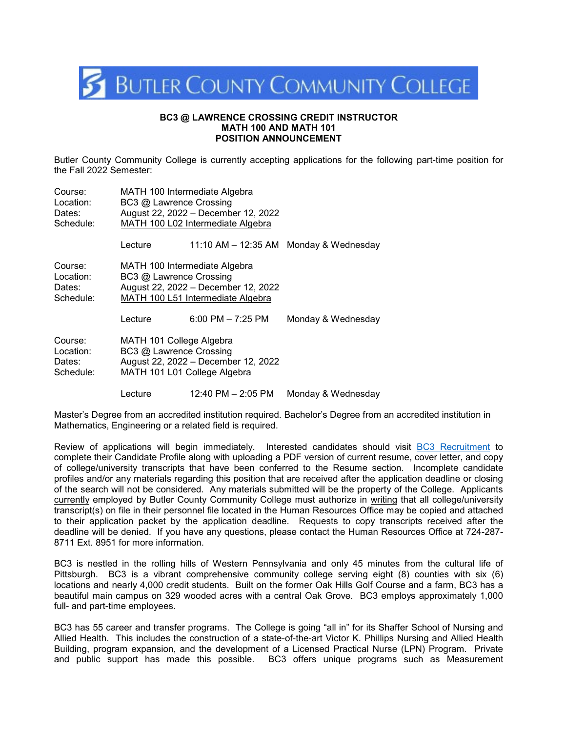

## **BC3 @ LAWRENCE CROSSING CREDIT INSTRUCTOR MATH 100 AND MATH 101 POSITION ANNOUNCEMENT**

Butler County Community College is currently accepting applications for the following part-time position for the Fall 2022 Semester:

| Course:   | MATH 100 Intermediate Algebra       |                       |                                        |
|-----------|-------------------------------------|-----------------------|----------------------------------------|
| Location: | BC3 @ Lawrence Crossing             |                       |                                        |
| Dates:    | August 22, 2022 - December 12, 2022 |                       |                                        |
| Schedule: | MATH 100 L02 Intermediate Algebra   |                       |                                        |
|           | Lecture                             |                       | 11:10 AM - 12:35 AM Monday & Wednesday |
| Course:   | MATH 100 Intermediate Algebra       |                       |                                        |
| Location: | BC3 @ Lawrence Crossing             |                       |                                        |
| Dates:    | August 22, 2022 - December 12, 2022 |                       |                                        |
| Schedule: | MATH 100 L51 Intermediate Algebra   |                       |                                        |
|           | Lecture                             | $6:00$ PM $- 7:25$ PM | Monday & Wednesday                     |
| Course:   | MATH 101 College Algebra            |                       |                                        |
| Location: | BC3 @ Lawrence Crossing             |                       |                                        |
| Dates:    | August 22, 2022 - December 12, 2022 |                       |                                        |
| Schedule: | MATH 101 L01 College Algebra        |                       |                                        |
|           | Lecture                             | 12:40 PM – 2:05 PM    | Monday & Wednesday                     |

Master's Degree from an accredited institution required. Bachelor's Degree from an accredited institution in Mathematics, Engineering or a related field is required.

Review of applications will begin immediately. Interested candidates should visit [BC3 Recruitment](https://workforcenow.adp.com/mascsr/default/mdf/recruitment/recruitment.html?cid=1d7c7d20-cb21-4a95-b978-579d86a89f77&ccId=19000101_000001&lang=en_US) to complete their Candidate Profile along with uploading a PDF version of current resume, cover letter, and copy of college/university transcripts that have been conferred to the Resume section. Incomplete candidate profiles and/or any materials regarding this position that are received after the application deadline or closing of the search will not be considered. Any materials submitted will be the property of the College. Applicants currently employed by Butler County Community College must authorize in writing that all college/university transcript(s) on file in their personnel file located in the Human Resources Office may be copied and attached to their application packet by the application deadline. Requests to copy transcripts received after the deadline will be denied. If you have any questions, please contact the Human Resources Office at 724-287- 8711 Ext. 8951 for more information.

BC3 is nestled in the rolling hills of Western Pennsylvania and only 45 minutes from the cultural life of Pittsburgh. BC3 is a vibrant comprehensive community college serving eight (8) counties with six (6) locations and nearly 4,000 credit students. Built on the former Oak Hills Golf Course and a farm, BC3 has a beautiful main campus on 329 wooded acres with a central Oak Grove. BC3 employs approximately 1,000 full- and part-time employees.

BC3 has 55 career and transfer programs. The College is going "all in" for its Shaffer School of Nursing and Allied Health. This includes the construction of a state-of-the-art Victor K. Phillips Nursing and Allied Health Building, program expansion, and the development of a Licensed Practical Nurse (LPN) Program. Private and public support has made this possible. BC3 offers unique programs such as Measurement